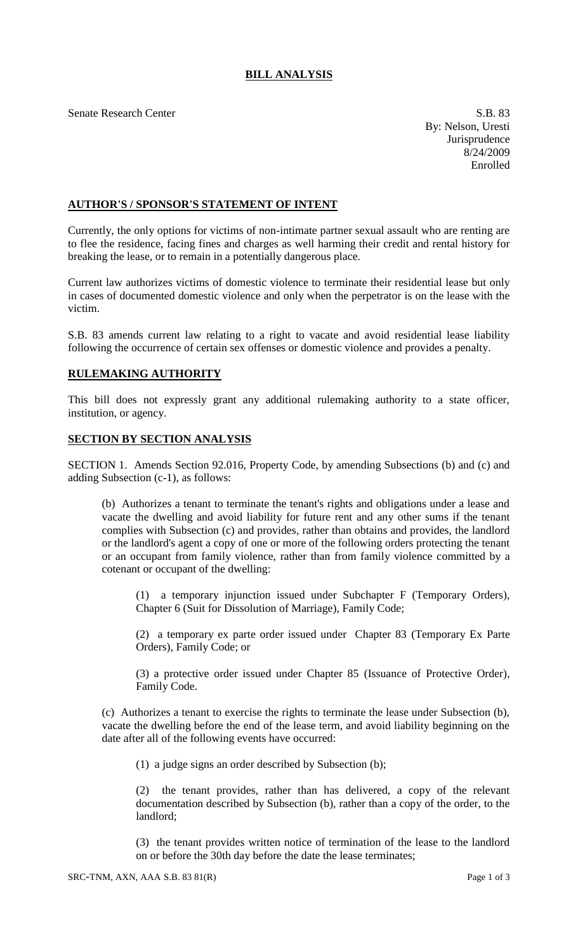## **BILL ANALYSIS**

Senate Research Center S.B. 83

By: Nelson, Uresti Jurisprudence 8/24/2009 Enrolled

## **AUTHOR'S / SPONSOR'S STATEMENT OF INTENT**

Currently, the only options for victims of non-intimate partner sexual assault who are renting are to flee the residence, facing fines and charges as well harming their credit and rental history for breaking the lease, or to remain in a potentially dangerous place.

Current law authorizes victims of domestic violence to terminate their residential lease but only in cases of documented domestic violence and only when the perpetrator is on the lease with the victim.

S.B. 83 amends current law relating to a right to vacate and avoid residential lease liability following the occurrence of certain sex offenses or domestic violence and provides a penalty.

## **RULEMAKING AUTHORITY**

This bill does not expressly grant any additional rulemaking authority to a state officer, institution, or agency.

## **SECTION BY SECTION ANALYSIS**

SECTION 1. Amends Section 92.016, Property Code, by amending Subsections (b) and (c) and adding Subsection (c-1), as follows:

(b) Authorizes a tenant to terminate the tenant's rights and obligations under a lease and vacate the dwelling and avoid liability for future rent and any other sums if the tenant complies with Subsection (c) and provides, rather than obtains and provides, the landlord or the landlord's agent a copy of one or more of the following orders protecting the tenant or an occupant from family violence, rather than from family violence committed by a cotenant or occupant of the dwelling:

(1) a temporary injunction issued under Subchapter F (Temporary Orders), Chapter 6 (Suit for Dissolution of Marriage), Family Code;

(2) a temporary ex parte order issued under Chapter 83 (Temporary Ex Parte Orders), Family Code; or

(3) a protective order issued under Chapter 85 (Issuance of Protective Order), Family Code.

(c) Authorizes a tenant to exercise the rights to terminate the lease under Subsection (b), vacate the dwelling before the end of the lease term, and avoid liability beginning on the date after all of the following events have occurred:

(1) a judge signs an order described by Subsection (b);

(2) the tenant provides, rather than has delivered, a copy of the relevant documentation described by Subsection (b), rather than a copy of the order, to the landlord;

(3) the tenant provides written notice of termination of the lease to the landlord on or before the 30th day before the date the lease terminates;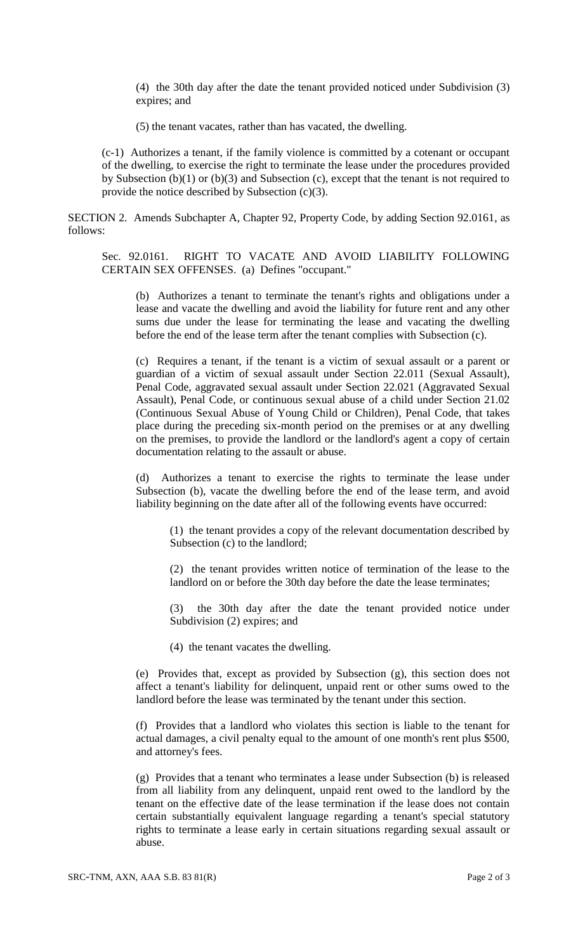(4) the 30th day after the date the tenant provided noticed under Subdivision (3) expires; and

(5) the tenant vacates, rather than has vacated, the dwelling.

(c-1) Authorizes a tenant, if the family violence is committed by a cotenant or occupant of the dwelling, to exercise the right to terminate the lease under the procedures provided by Subsection (b)(1) or (b)(3) and Subsection (c), except that the tenant is not required to provide the notice described by Subsection (c)(3).

SECTION 2. Amends Subchapter A, Chapter 92, Property Code, by adding Section 92.0161, as follows:

Sec. 92.0161. RIGHT TO VACATE AND AVOID LIABILITY FOLLOWING CERTAIN SEX OFFENSES. (a) Defines "occupant."

(b) Authorizes a tenant to terminate the tenant's rights and obligations under a lease and vacate the dwelling and avoid the liability for future rent and any other sums due under the lease for terminating the lease and vacating the dwelling before the end of the lease term after the tenant complies with Subsection (c).

(c) Requires a tenant, if the tenant is a victim of sexual assault or a parent or guardian of a victim of sexual assault under Section 22.011 (Sexual Assault), Penal Code, aggravated sexual assault under Section 22.021 (Aggravated Sexual Assault), Penal Code, or continuous sexual abuse of a child under Section 21.02 (Continuous Sexual Abuse of Young Child or Children), Penal Code, that takes place during the preceding six-month period on the premises or at any dwelling on the premises, to provide the landlord or the landlord's agent a copy of certain documentation relating to the assault or abuse.

(d) Authorizes a tenant to exercise the rights to terminate the lease under Subsection (b), vacate the dwelling before the end of the lease term, and avoid liability beginning on the date after all of the following events have occurred:

(1) the tenant provides a copy of the relevant documentation described by Subsection (c) to the landlord;

(2) the tenant provides written notice of termination of the lease to the landlord on or before the 30th day before the date the lease terminates;

(3) the 30th day after the date the tenant provided notice under Subdivision (2) expires; and

(4) the tenant vacates the dwelling.

(e) Provides that, except as provided by Subsection (g), this section does not affect a tenant's liability for delinquent, unpaid rent or other sums owed to the landlord before the lease was terminated by the tenant under this section.

(f) Provides that a landlord who violates this section is liable to the tenant for actual damages, a civil penalty equal to the amount of one month's rent plus \$500, and attorney's fees.

(g) Provides that a tenant who terminates a lease under Subsection (b) is released from all liability from any delinquent, unpaid rent owed to the landlord by the tenant on the effective date of the lease termination if the lease does not contain certain substantially equivalent language regarding a tenant's special statutory rights to terminate a lease early in certain situations regarding sexual assault or abuse.